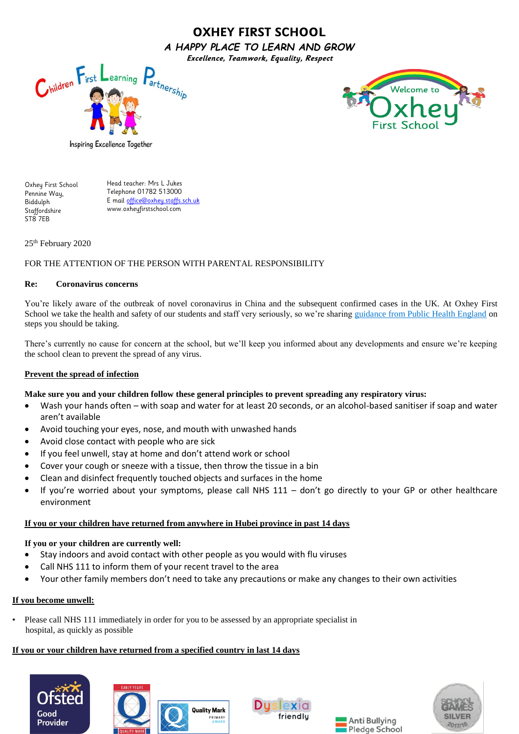# **OXHEY FIRST SCHOOL**  *A HAPPY PLACE TO LEARN AND GROW* **Excellence, Teamwork, Equality, Respect**





Inspiring Excellence Together

Oxhey First School Pennine Way, Biddulph **Staffordshire** ST8 7EB

Head teacher: Mrs L Jukes Telephone 01782 513000 E mail [office@oxhey.staffs.sch.uk](mailto:office@oxhey.staffs.sch.uk) www.oxheyfirstschool.com

25th February 2020

### FOR THE ATTENTION OF THE PERSON WITH PARENTAL RESPONSIBILITY

### **Re: Coronavirus concerns**

You're likely aware of the outbreak of novel coronavirus in China and the subsequent confirmed cases in the UK. At Oxhey First School we take the health and safety of our students and staff very seriously, so we're sharing [guidance from Public Health England](https://www.gov.uk/government/publications/novel-coronavirus-2019-ncov-guidance-to-assist-professionals-in-advising-the-general-public/guidance-to-assist-professionals-in-advising-the-general-public) on steps you should be taking.

There's currently no cause for concern at the school, but we'll keep you informed about any developments and ensure we're keeping the school clean to prevent the spread of any virus.

### **Prevent the spread of infection**

### **Make sure you and your children follow these general principles to prevent spreading any respiratory virus:**

- Wash your hands often with soap and water for at least 20 seconds, or an alcohol-based sanitiser if soap and water aren't available
- Avoid touching your eyes, nose, and mouth with unwashed hands
- Avoid close contact with people who are sick
- If you feel unwell, stay at home and don't attend work or school
- Cover your cough or sneeze with a tissue, then throw the tissue in a bin
- Clean and disinfect frequently touched objects and surfaces in the home
- If you're worried about your symptoms, please call NHS 111 don't go directly to your GP or other healthcare environment

### **If you or your children have returned from anywhere in Hubei province in past 14 days**

### **If you or your children are currently well:**

- Stay indoors and avoid contact with other people as you would with flu viruses
- Call NHS 111 to inform them of your recent travel to the area
- Your other family members don't need to take any precautions or make any changes to their own activities

## **If you become unwell:**

• Please call NHS 111 immediately in order for you to be assessed by an appropriate specialist in hospital, as quickly as possible

**Quality Mark** 

PRIMARY

## **If you or your children have returned from a specified country in last 14 days**







Anti Bullying Pledge School